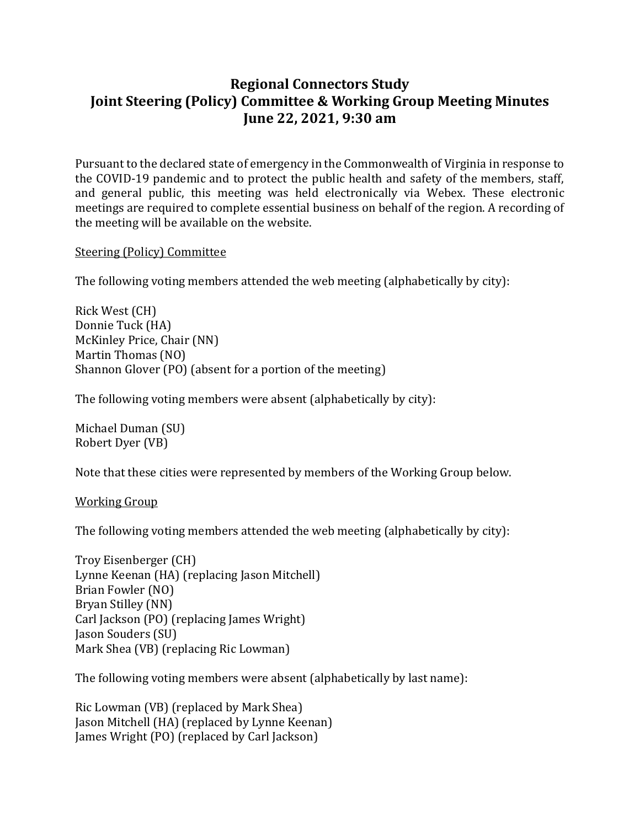# **Regional Connectors Study Joint Steering (Policy) Committee & Working Group Meeting Minutes June 22, 2021, 9:30 am**

Pursuant to the declared state of emergency in the Commonwealth of Virginia in response to the COVID-19 pandemic and to protect the public health and safety of the members, staff, and general public, this meeting was held electronically via Webex. These electronic meetings are required to complete essential business on behalf of the region. A recording of the meeting will be available on the website.

#### Steering (Policy) Committee

The following voting members attended the web meeting (alphabetically by city):

Rick West (CH) Donnie Tuck (HA) McKinley Price, Chair (NN) Martin Thomas (NO) Shannon Glover (PO) (absent for a portion of the meeting)

The following voting members were absent (alphabetically by city):

Michael Duman (SU) Robert Dyer (VB)

Note that these cities were represented by members of the Working Group below.

Working Group

The following voting members attended the web meeting (alphabetically by city):

Troy Eisenberger (CH) Lynne Keenan (HA) (replacing Jason Mitchell) Brian Fowler (NO) Bryan Stilley (NN) Carl Jackson (PO) (replacing James Wright) Jason Souders (SU) Mark Shea (VB) (replacing Ric Lowman)

The following voting members were absent (alphabetically by last name):

Ric Lowman (VB) (replaced by Mark Shea) Jason Mitchell (HA) (replaced by Lynne Keenan) James Wright (PO) (replaced by Carl Jackson)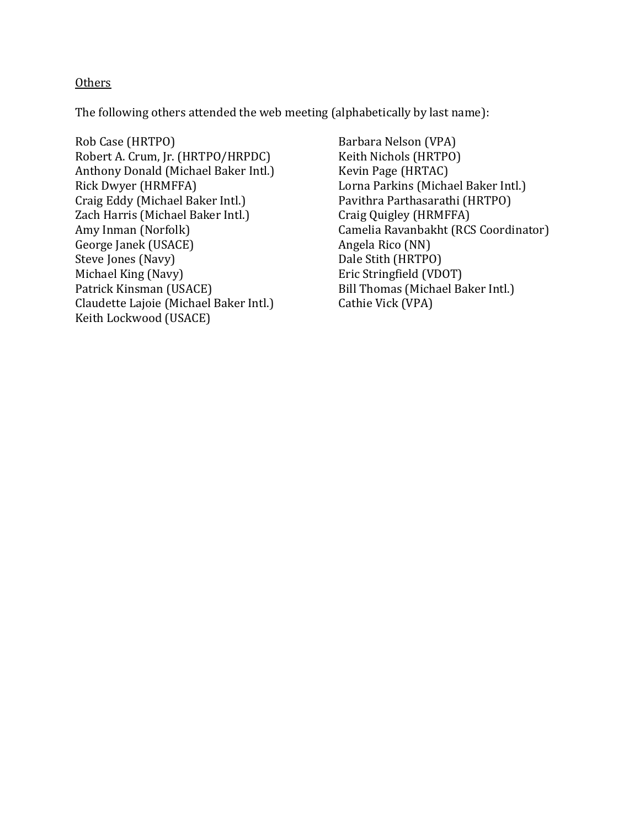#### **Others**

The following others attended the web meeting (alphabetically by last name):

Rob Case (HRTPO) Robert A. Crum, Jr. (HRTPO/HRPDC) Anthony Donald (Michael Baker Intl.) Rick Dwyer (HRMFFA) Craig Eddy (Michael Baker Intl.) Zach Harris (Michael Baker Intl.) Amy Inman (Norfolk) George Janek (USACE) Steve Jones (Navy) Michael King (Navy) Patrick Kinsman (USACE) Claudette Lajoie (Michael Baker Intl.) Keith Lockwood (USACE)

Barbara Nelson (VPA) Keith Nichols (HRTPO) Kevin Page (HRTAC) Lorna Parkins (Michael Baker Intl.) Pavithra Parthasarathi (HRTPO) Craig Quigley (HRMFFA) Camelia Ravanbakht (RCS Coordinator) Angela Rico (NN) Dale Stith (HRTPO) Eric Stringfield (VDOT) Bill Thomas (Michael Baker Intl.) Cathie Vick (VPA)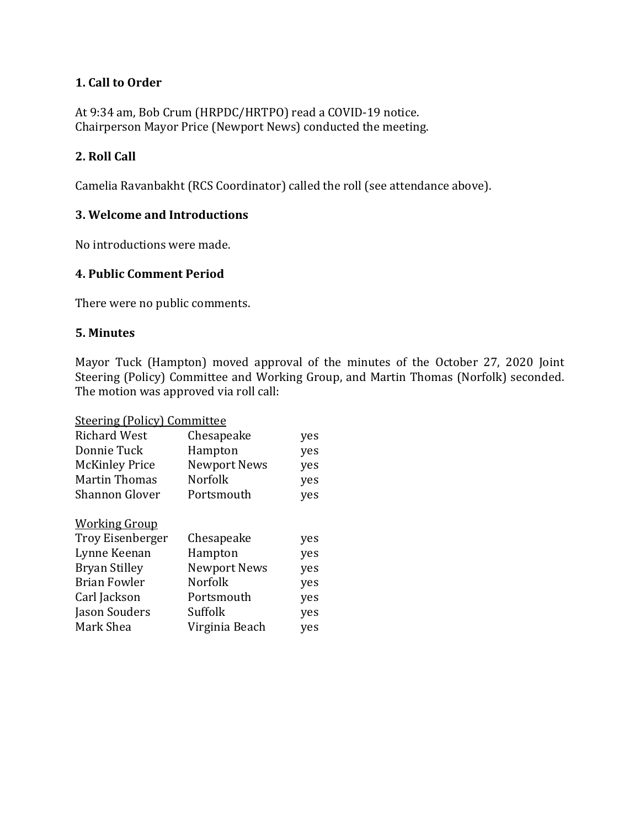## **1. Call to Order**

At 9:34 am, Bob Crum (HRPDC/HRTPO) read a COVID-19 notice. Chairperson Mayor Price (Newport News) conducted the meeting.

### **2. Roll Call**

Camelia Ravanbakht (RCS Coordinator) called the roll (see attendance above).

## **3. Welcome and Introductions**

No introductions were made.

#### **4. Public Comment Period**

There were no public comments.

#### **5. Minutes**

Mayor Tuck (Hampton) moved approval of the minutes of the October 27, 2020 Joint Steering (Policy) Committee and Working Group, and Martin Thomas (Norfolk) seconded. The motion was approved via roll call:

| <b>Steering (Policy) Committee</b> |                     |     |  |  |
|------------------------------------|---------------------|-----|--|--|
| <b>Richard West</b>                | Chesapeake          | yes |  |  |
| Donnie Tuck                        | Hampton             | yes |  |  |
| <b>McKinley Price</b>              | <b>Newport News</b> | yes |  |  |
| <b>Martin Thomas</b>               | <b>Norfolk</b>      | yes |  |  |
| <b>Shannon Glover</b>              | Portsmouth          | yes |  |  |
| <u>Working Group</u>               |                     |     |  |  |
| <b>Troy Eisenberger</b>            | Chesapeake          | yes |  |  |
| Lynne Keenan                       | Hampton             | yes |  |  |
| Bryan Stilley                      | <b>Newport News</b> | yes |  |  |
| <b>Brian Fowler</b>                | Norfolk             | yes |  |  |
| Carl Jackson                       | Portsmouth          | yes |  |  |
| Jason Souders                      | Suffolk             | yes |  |  |
| Mark Shea                          | Virginia Beach      | yes |  |  |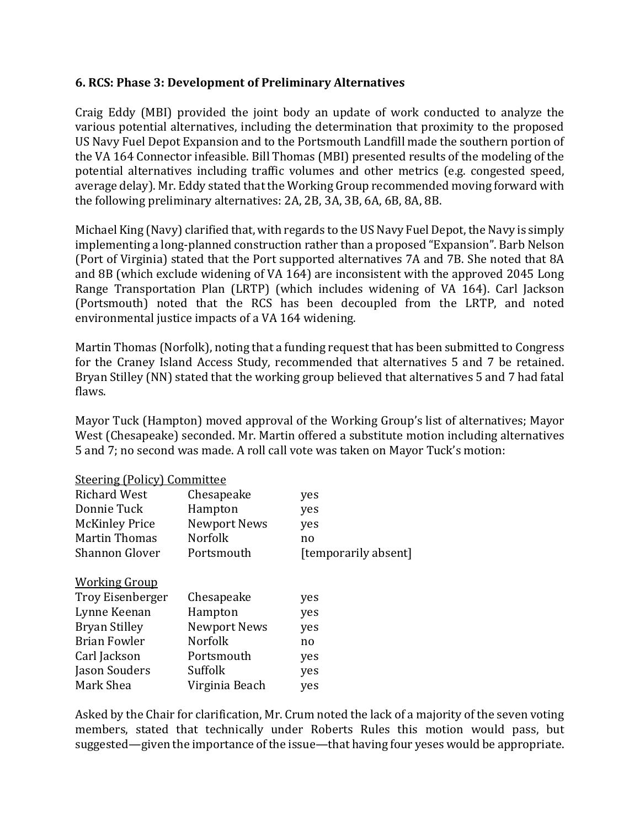#### **6. RCS: Phase 3: Development of Preliminary Alternatives**

Craig Eddy (MBI) provided the joint body an update of work conducted to analyze the various potential alternatives, including the determination that proximity to the proposed US Navy Fuel Depot Expansion and to the Portsmouth Landfill made the southern portion of the VA 164 Connector infeasible. Bill Thomas (MBI) presented results of the modeling of the potential alternatives including traffic volumes and other metrics (e.g. congested speed, average delay). Mr. Eddy stated that the Working Group recommended moving forward with the following preliminary alternatives: 2A, 2B, 3A, 3B, 6A, 6B, 8A, 8B.

Michael King (Navy) clarified that, with regards to the US Navy Fuel Depot, the Navy is simply implementing a long-planned construction rather than a proposed "Expansion". Barb Nelson (Port of Virginia) stated that the Port supported alternatives 7A and 7B. She noted that 8A and 8B (which exclude widening of VA 164) are inconsistent with the approved 2045 Long Range Transportation Plan (LRTP) (which includes widening of VA 164). Carl Jackson (Portsmouth) noted that the RCS has been decoupled from the LRTP, and noted environmental justice impacts of a VA 164 widening.

Martin Thomas (Norfolk), noting that a funding request that has been submitted to Congress for the Craney Island Access Study, recommended that alternatives 5 and 7 be retained. Bryan Stilley (NN) stated that the working group believed that alternatives 5 and 7 had fatal flaws.

Mayor Tuck (Hampton) moved approval of the Working Group's list of alternatives; Mayor West (Chesapeake) seconded. Mr. Martin offered a substitute motion including alternatives 5 and 7; no second was made. A roll call vote was taken on Mayor Tuck's motion:

#### Steering (Policy) Committee

| <b>Richard West</b>     | Chesapeake     | yes                  |
|-------------------------|----------------|----------------------|
| Donnie Tuck             | Hampton        | yes                  |
| <b>McKinley Price</b>   | Newport News   | yes                  |
| <b>Martin Thomas</b>    | <b>Norfolk</b> | no                   |
| <b>Shannon Glover</b>   | Portsmouth     | [temporarily absent] |
| <b>Working Group</b>    |                |                      |
| <b>Troy Eisenberger</b> | Chesapeake     | yes                  |
| Lynne Keenan            | Hampton        | yes                  |
| <b>Bryan Stilley</b>    | Newport News   | yes                  |
| <b>Brian Fowler</b>     | <b>Norfolk</b> | no                   |
| Carl Jackson            | Portsmouth     | yes                  |
| Jason Souders           | Suffolk        | yes                  |
| Mark Shea               | Virginia Beach | yes                  |
|                         |                |                      |

Asked by the Chair for clarification, Mr. Crum noted the lack of a majority of the seven voting members, stated that technically under Roberts Rules this motion would pass, but suggested—given the importance of the issue—that having four yeses would be appropriate.